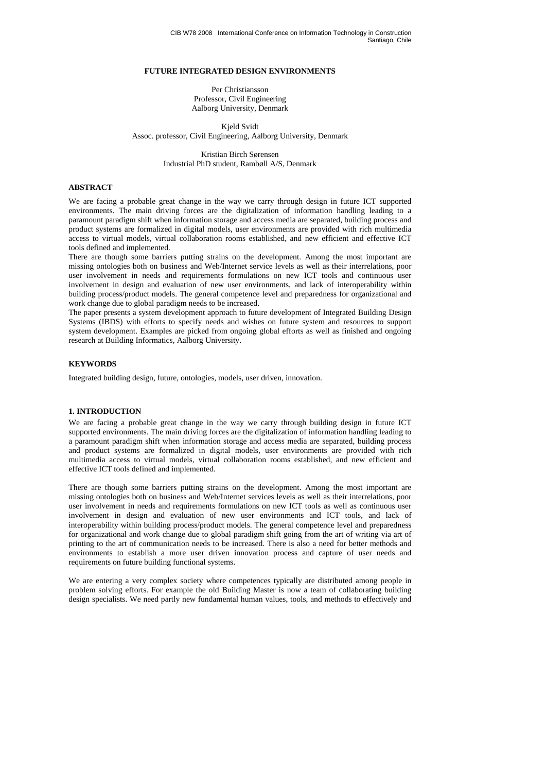## **FUTURE INTEGRATED DESIGN ENVIRONMENTS**

Per Christiansson Professor, Civil Engineering Aalborg University, Denmark

Kjeld Svidt Assoc. professor, Civil Engineering, Aalborg University, Denmark

> Kristian Birch Sørensen Industrial PhD student, Rambøll A/S, Denmark

## **ABSTRACT**

We are facing a probable great change in the way we carry through design in future ICT supported environments. The main driving forces are the digitalization of information handling leading to a paramount paradigm shift when information storage and access media are separated, building process and product systems are formalized in digital models, user environments are provided with rich multimedia access to virtual models, virtual collaboration rooms established, and new efficient and effective ICT tools defined and implemented.

There are though some barriers putting strains on the development. Among the most important are missing ontologies both on business and Web/Internet service levels as well as their interrelations, poor user involvement in needs and requirements formulations on new ICT tools and continuous user involvement in design and evaluation of new user environments, and lack of interoperability within building process/product models. The general competence level and preparedness for organizational and work change due to global paradigm needs to be increased.

The paper presents a system development approach to future development of Integrated Building Design Systems (IBDS) with efforts to specify needs and wishes on future system and resources to support system development. Examples are picked from ongoing global efforts as well as finished and ongoing research at Building Informatics, Aalborg University.

## **KEYWORDS**

Integrated building design, future, ontologies, models, user driven, innovation.

## **1. INTRODUCTION**

We are facing a probable great change in the way we carry through building design in future ICT supported environments. The main driving forces are the digitalization of information handling leading to a paramount paradigm shift when information storage and access media are separated, building process and product systems are formalized in digital models, user environments are provided with rich multimedia access to virtual models, virtual collaboration rooms established, and new efficient and effective ICT tools defined and implemented.

There are though some barriers putting strains on the development. Among the most important are missing ontologies both on business and Web/Internet services levels as well as their interrelations, poor user involvement in needs and requirements formulations on new ICT tools as well as continuous user involvement in design and evaluation of new user environments and ICT tools, and lack of interoperability within building process/product models. The general competence level and preparedness for organizational and work change due to global paradigm shift going from the art of writing via art of printing to the art of communication needs to be increased. There is also a need for better methods and environments to establish a more user driven innovation process and capture of user needs and requirements on future building functional systems.

We are entering a very complex society where competences typically are distributed among people in problem solving efforts. For example the old Building Master is now a team of collaborating building design specialists. We need partly new fundamental human values, tools, and methods to effectively and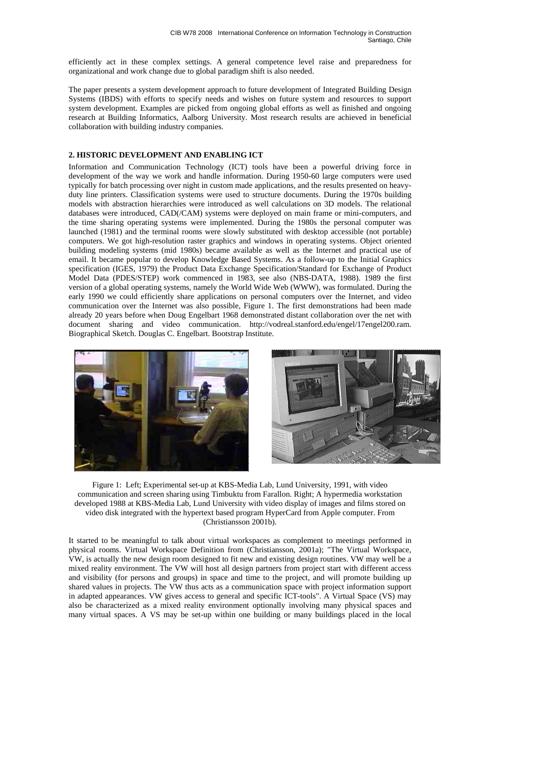efficiently act in these complex settings. A general competence level raise and preparedness for organizational and work change due to global paradigm shift is also needed.

The paper presents a system development approach to future development of Integrated Building Design Systems (IBDS) with efforts to specify needs and wishes on future system and resources to support system development. Examples are picked from ongoing global efforts as well as finished and ongoing research at Building Informatics, Aalborg University. Most research results are achieved in beneficial collaboration with building industry companies.

## **2. HISTORIC DEVELOPMENT AND ENABLING ICT**

Information and Communication Technology (ICT) tools have been a powerful driving force in development of the way we work and handle information. During 1950-60 large computers were used typically for batch processing over night in custom made applications, and the results presented on heavyduty line printers. Classification systems were used to structure documents. During the 1970s building models with abstraction hierarchies were introduced as well calculations on 3D models. The relational databases were introduced, CAD(/CAM) systems were deployed on main frame or mini-computers, and the time sharing operating systems were implemented. During the 1980s the personal computer was launched (1981) and the terminal rooms were slowly substituted with desktop accessible (not portable) computers. We got high-resolution raster graphics and windows in operating systems. Object oriented building modeling systems (mid 1980s) became available as well as the Internet and practical use of email. It became popular to develop Knowledge Based Systems. As a follow-up to the Initial Graphics specification (IGES, 1979) the Product Data Exchange Specification/Standard for Exchange of Product Model Data (PDES/STEP) work commenced in 1983, see also (NBS-DATA, 1988). 1989 the first version of a global operating systems, namely the World Wide Web (WWW), was formulated. During the early 1990 we could efficiently share applications on personal computers over the Internet, and video communication over the Internet was also possible, Figure 1. The first demonstrations had been made already 20 years before when Doug Engelbart 1968 demonstrated distant collaboration over the net with document sharing and video communication. http://vodreal.stanford.edu/engel/17engel200.ram. Biographical Sketch. Douglas C. Engelbart. Bootstrap Institute.





Figure 1: Left; Experimental set-up at KBS-Media Lab, Lund University, 1991, with video communication and screen sharing using Timbuktu from Farallon. Right; A hypermedia workstation developed 1988 at KBS-Media Lab, Lund University with video display of images and films stored on video disk integrated with the hypertext based program HyperCard from Apple computer. From (Christiansson 2001b).

It started to be meaningful to talk about virtual workspaces as complement to meetings performed in physical rooms. Virtual Workspace Definition from (Christiansson, 2001a); "The Virtual Workspace, VW, is actually the new design room designed to fit new and existing design routines. VW may well be a mixed reality environment. The VW will host all design partners from project start with different access and visibility (for persons and groups) in space and time to the project, and will promote building up shared values in projects. The VW thus acts as a communication space with project information support in adapted appearances. VW gives access to general and specific ICT-tools". A Virtual Space (VS) may also be characterized as a mixed reality environment optionally involving many physical spaces and many virtual spaces. A VS may be set-up within one building or many buildings placed in the local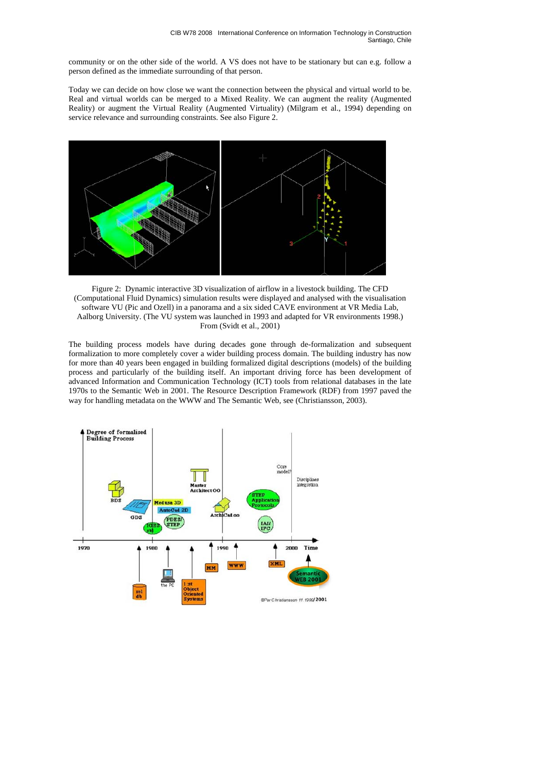community or on the other side of the world. A VS does not have to be stationary but can e.g. follow a person defined as the immediate surrounding of that person.

Today we can decide on how close we want the connection between the physical and virtual world to be. Real and virtual worlds can be merged to a Mixed Reality. We can augment the reality (Augmented Reality) or augment the Virtual Reality (Augmented Virtuality) (Milgram et al., 1994) depending on service relevance and surrounding constraints. See also Figure 2.



Figure 2: Dynamic interactive 3D visualization of airflow in a livestock building. The CFD (Computational Fluid Dynamics) simulation results were displayed and analysed with the visualisation software VU (Pic and Ozell) in a panorama and a six sided CAVE environment at VR Media Lab, Aalborg University. (The VU system was launched in 1993 and adapted for VR environments 1998.) From (Svidt et al., 2001)

The building process models have during decades gone through de-formalization and subsequent formalization to more completely cover a wider building process domain. The building industry has now for more than 40 years been engaged in building formalized digital descriptions (models) of the building process and particularly of the building itself. An important driving force has been development of advanced Information and Communication Technology (ICT) tools from relational databases in the late 1970s to the Semantic Web in 2001. The Resource Description Framework (RDF) from 1997 paved the way for handling metadata on the WWW and The Semantic Web, see (Christiansson, 2003).

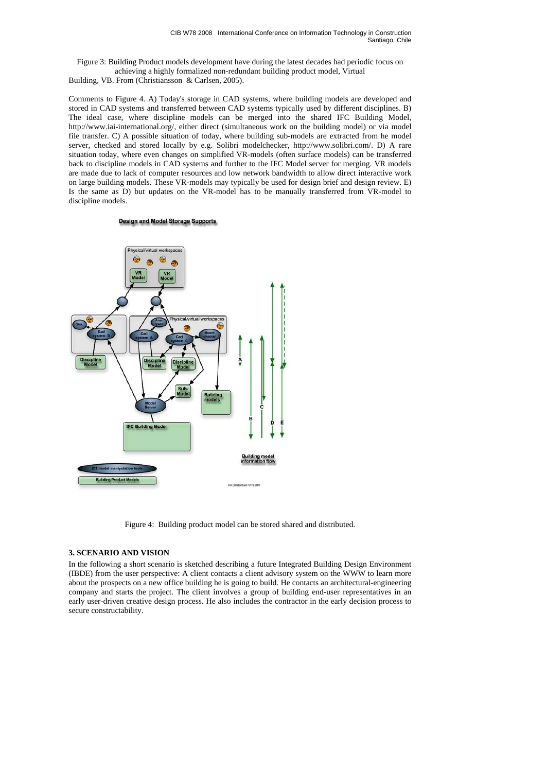Figure 3: Building Product models development have during the latest decades had periodic focus on achieving a highly formalized non-redundant building product model, Virtual

Building, VB. From (Christiansson & Carlsen, 2005).

Comments to Figure 4. A) Today's storage in CAD systems, where building models are developed and stored in CAD systems and transferred between CAD systems typically used by different disciplines. B) The ideal case, where discipline models can be merged into the shared IFC Building Model, http://www.iai-international.org/, either direct (simultaneous work on the building model) or via model file transfer. C) A possible situation of today, where building sub-models are extracted from he model server, checked and stored locally by e.g. Solibri modelchecker, http://www.solibri.com/. D) A rare situation today, where even changes on simplified VR-models (often surface models) can be transferred back to discipline models in CAD systems and further to the IFC Model server for merging. VR models are made due to lack of computer resources and low network bandwidth to allow direct interactive work on large building models. These VR-models may typically be used for design brief and design review. E) Is the same as D) but updates on the VR-model has to be manually transferred from VR-model to discipline models.

#### **Design and Model Storage Supports**



Figure 4: Building product model can be stored shared and distributed.

#### **3. SCENARIO AND VISION**

In the following a short scenario is sketched describing a future Integrated Building Design Environment (IBDE) from the user perspective: A client contacts a client advisory system on the WWW to learn more about the prospects on a new office building he is going to build. He contacts an architectural-engineering company and starts the project. The client involves a group of building end-user representatives in an early user-driven creative design process. He also includes the contractor in the early decision process to secure constructability.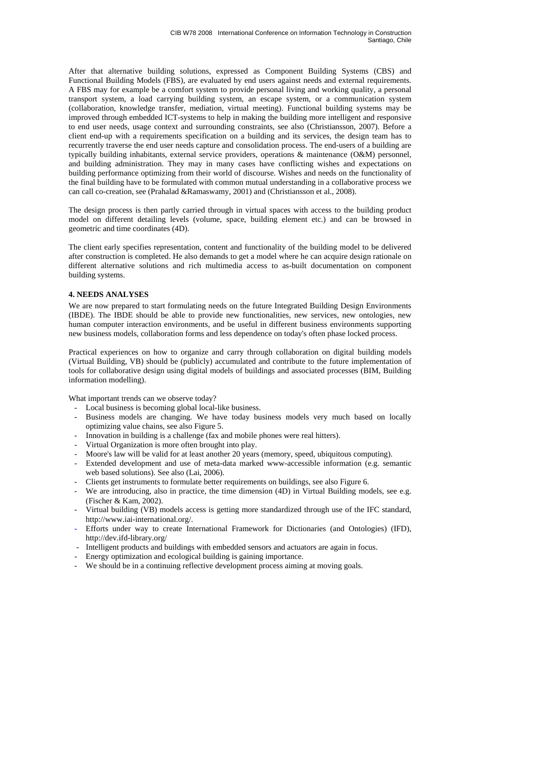After that alternative building solutions, expressed as Component Building Systems (CBS) and Functional Building Models (FBS), are evaluated by end users against needs and external requirements. A FBS may for example be a comfort system to provide personal living and working quality, a personal transport system, a load carrying building system, an escape system, or a communication system (collaboration, knowledge transfer, mediation, virtual meeting). Functional building systems may be improved through embedded ICT-systems to help in making the building more intelligent and responsive to end user needs, usage context and surrounding constraints, see also (Christiansson, 2007). Before a client end-up with a requirements specification on a building and its services, the design team has to recurrently traverse the end user needs capture and consolidation process. The end-users of a building are typically building inhabitants, external service providers, operations & maintenance (O&M) personnel, and building administration. They may in many cases have conflicting wishes and expectations on building performance optimizing from their world of discourse. Wishes and needs on the functionality of the final building have to be formulated with common mutual understanding in a collaborative process we can call co-creation, see (Prahalad &Ramaswamy, 2001) and (Christiansson et al., 2008).

The design process is then partly carried through in virtual spaces with access to the building product model on different detailing levels (volume, space, building element etc.) and can be browsed in geometric and time coordinates (4D).

The client early specifies representation, content and functionality of the building model to be delivered after construction is completed. He also demands to get a model where he can acquire design rationale on different alternative solutions and rich multimedia access to as-built documentation on component building systems.

## **4. NEEDS ANALYSES**

We are now prepared to start formulating needs on the future Integrated Building Design Environments (IBDE). The IBDE should be able to provide new functionalities, new services, new ontologies, new human computer interaction environments, and be useful in different business environments supporting new business models, collaboration forms and less dependence on today's often phase locked process.

Practical experiences on how to organize and carry through collaboration on digital building models (Virtual Building, VB) should be (publicly) accumulated and contribute to the future implementation of tools for collaborative design using digital models of buildings and associated processes (BIM, Building information modelling).

What important trends can we observe today?

- Local business is becoming global local-like business.
- Business models are changing. We have today business models very much based on locally optimizing value chains, see also Figure 5.
- Innovation in building is a challenge (fax and mobile phones were real hitters).
- Virtual Organization is more often brought into play.
- Moore's law will be valid for at least another 20 years (memory, speed, ubiquitous computing).
- Extended development and use of meta-data marked www-accessible information (e.g. semantic web based solutions). See also (Lai, 2006).
- Clients get instruments to formulate better requirements on buildings, see also Figure 6.
- We are introducing, also in practice, the time dimension (4D) in Virtual Building models, see e.g. (Fischer & Kam, 2002).
- Virtual building (VB) models access is getting more standardized through use of the IFC standard, http://www.iai-international.org/.
- Efforts under way to create International Framework for Dictionaries (and Ontologies) (IFD), http://dev.ifd-library.org/
- Intelligent products and buildings with embedded sensors and actuators are again in focus.
- Energy optimization and ecological building is gaining importance.
- We should be in a continuing reflective development process aiming at moving goals.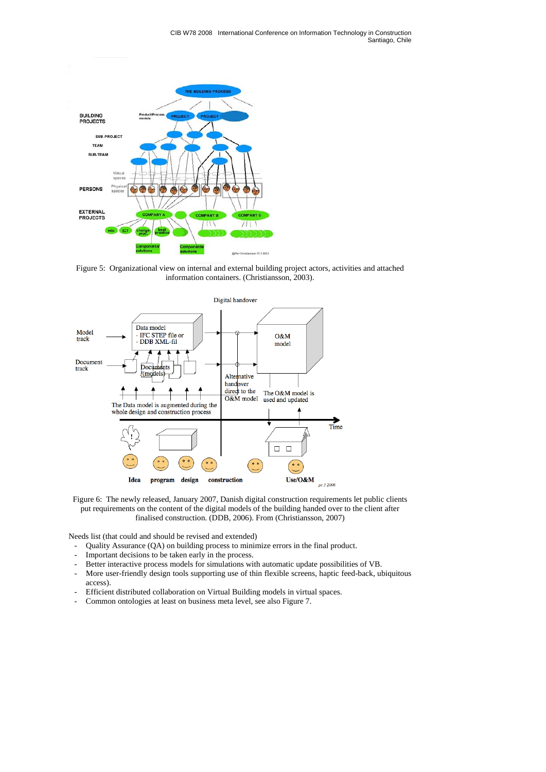

Figure 5: Organizational view on internal and external building project actors, activities and attached information containers. (Christiansson, 2003).



Figure 6: The newly released, January 2007, Danish digital construction requirements let public clients put requirements on the content of the digital models of the building handed over to the client after finalised construction. (DDB, 2006). From (Christiansson, 2007)

Needs list (that could and should be revised and extended)

- Quality Assurance (QA) on building process to minimize errors in the final product.
- Important decisions to be taken early in the process.
- Better interactive process models for simulations with automatic update possibilities of VB.
- More user-friendly design tools supporting use of thin flexible screens, haptic feed-back, ubiquitous access).
- Efficient distributed collaboration on Virtual Building models in virtual spaces.
- Common ontologies at least on business meta level, see also Figure 7.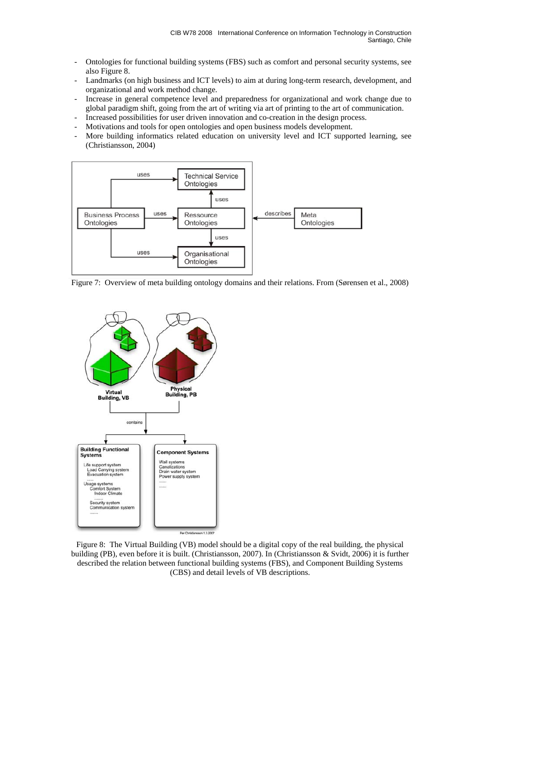- Ontologies for functional building systems (FBS) such as comfort and personal security systems, see also Figure 8.
- Landmarks (on high business and ICT levels) to aim at during long-term research, development, and organizational and work method change.
- Increase in general competence level and preparedness for organizational and work change due to global paradigm shift, going from the art of writing via art of printing to the art of communication.
- Increased possibilities for user driven innovation and co-creation in the design process.
- Motivations and tools for open ontologies and open business models development.
- More building informatics related education on university level and ICT supported learning, see (Christiansson, 2004)



Figure 7: Overview of meta building ontology domains and their relations. From (Sørensen et al., 2008)



Figure 8: The Virtual Building (VB) model should be a digital copy of the real building, the physical building (PB), even before it is built. (Christiansson, 2007). In (Christiansson & Svidt, 2006) it is further described the relation between functional building systems (FBS), and Component Building Systems (CBS) and detail levels of VB descriptions.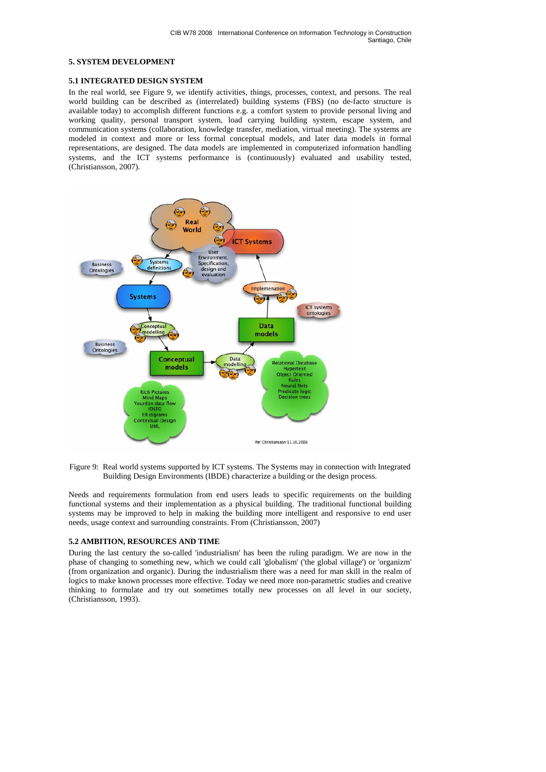## **5. SYSTEM DEVELOPMENT**

#### **5.1 INTEGRATED DESIGN SYSTEM**

In the real world, see Figure 9, we identify activities, things, processes, context, and persons. The real world building can be described as (interrelated) building systems (FBS) (no de-facto structure is available today) to accomplish different functions e.g. a comfort system to provide personal living and working quality, personal transport system, load carrying building system, escape system, and communication systems (collaboration, knowledge transfer, mediation, virtual meeting). The systems are modeled in context and more or less formal conceptual models, and later data models in formal representations, are designed. The data models are implemented in computerized information handling systems, and the ICT systems performance is (continuously) evaluated and usability tested, (Christiansson, 2007).





Needs and requirements formulation from end users leads to specific requirements on the building functional systems and their implementation as a physical building. The traditional functional building systems may be improved to help in making the building more intelligent and responsive to end user needs, usage context and surrounding constraints. From (Christiansson, 2007)

## **5.2 AMBITION, RESOURCES AND TIME**

During the last century the so-called 'industrialism' has been the ruling paradigm. We are now in the phase of changing to something new, which we could call 'globalism' ('the global village') or 'organizm' (from organization and organic). During the industrialism there was a need for man skill in the realm of logics to make known processes more effective. Today we need more non-parametric studies and creative thinking to formulate and try out sometimes totally new processes on all level in our society, (Christiansson, 1993).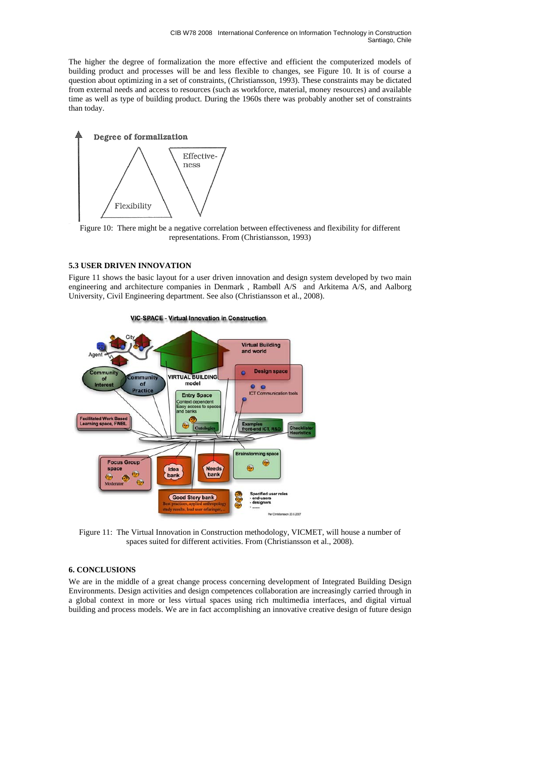The higher the degree of formalization the more effective and efficient the computerized models of building product and processes will be and less flexible to changes, see Figure 10. It is of course a question about optimizing in a set of constraints, (Christiansson, 1993). These constraints may be dictated from external needs and access to resources (such as workforce, material, money resources) and available time as well as type of building product. During the 1960s there was probably another set of constraints than today.



Figure 10: There might be a negative correlation between effectiveness and flexibility for different representations. From (Christiansson, 1993)

# **5.3 USER DRIVEN INNOVATION**

Figure 11 shows the basic layout for a user driven innovation and design system developed by two main engineering and architecture companies in Denmark, Rambøll A/S and Arkitema A/S, and Aalborg University, Civil Engineering department. See also (Christiansson et al., 2008).



Figure 11: The Virtual Innovation in Construction methodology, VICMET, will house a number of spaces suited for different activities. From (Christiansson et al., 2008).

## **6. CONCLUSIONS**

We are in the middle of a great change process concerning development of Integrated Building Design Environments. Design activities and design competences collaboration are increasingly carried through in a global context in more or less virtual spaces using rich multimedia interfaces, and digital virtual building and process models. We are in fact accomplishing an innovative creative design of future design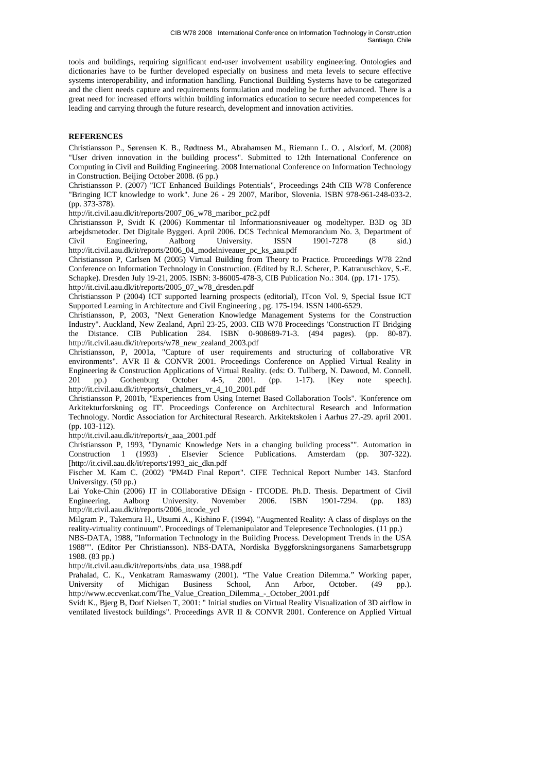tools and buildings, requiring significant end-user involvement usability engineering. Ontologies and dictionaries have to be further developed especially on business and meta levels to secure effective systems interoperability, and information handling. Functional Building Systems have to be categorized and the client needs capture and requirements formulation and modeling be further advanced. There is a great need for increased efforts within building informatics education to secure needed competences for leading and carrying through the future research, development and innovation activities.

# **REFERENCES**

Christiansson P., Sørensen K. B., Rødtness M., Abrahamsen M., Riemann L. O. , Alsdorf, M. (2008) "User driven innovation in the building process". Submitted to 12th International Conference on Computing in Civil and Building Engineering. 2008 International Conference on Information Technology in Construction. Beijing October 2008. (6 pp.)

Christiansson P. (2007) "ICT Enhanced Buildings Potentials", Proceedings 24th CIB W78 Conference "Bringing ICT knowledge to work". June 26 - 29 2007, Maribor, Slovenia. ISBN 978-961-248-033-2. (pp. 373-378).

http://it.civil.aau.dk/it/reports/2007\_06\_w78\_maribor\_pc2.pdf

Christiansson P, Svidt K (2006) Kommentar til Informationsniveauer og modeltyper. B3D og 3D arbejdsmetoder. Det Digitale Byggeri. April 2006. DCS Technical Memorandum No. 3, Department of Civil Engineering, Aalborg University. ISSN 1901-7278 (8 sid.) http://it.civil.aau.dk/it/reports/2006\_04\_modelniveauer\_pc\_ks\_aau.pdf

Christiansson P, Carlsen M (2005) Virtual Building from Theory to Practice. Proceedings W78 22nd Conference on Information Technology in Construction. (Edited by R.J. Scherer, P. Katranuschkov, S.-E. Schapke). Dresden July 19-21, 2005. ISBN: 3-86005-478-3, CIB Publication No.: 304. (pp. 171- 175).

http://it.civil.aau.dk/it/reports/2005\_07\_w78\_dresden.pdf

Christiansson P (2004) ICT supported learning prospects (editorial), ITcon Vol. 9, Special Issue ICT Supported Learning in Architecture and Civil Engineering , pg. 175-194. ISSN 1400-6529.

Christiansson, P, 2003, "Next Generation Knowledge Management Systems for the Construction Industry". Auckland, New Zealand, April 23-25, 2003. CIB W78 Proceedings 'Construction IT Bridging the Distance. CIB Publication 284. ISBN 0-908689-71-3. (494 pages). (pp. 80-87). http://it.civil.aau.dk/it/reports/w78\_new\_zealand\_2003.pdf

Christiansson, P, 2001a, "Capture of user requirements and structuring of collaborative VR environments". AVR II & CONVR 2001. Proceedings Conference on Applied Virtual Reality in Engineering & Construction Applications of Virtual Reality. (eds: O. Tullberg, N. Dawood, M. Connell. 201 pp.) Gothenburg October 4-5, 2001. (pp. 1-17). [Key note speech]. http://it.civil.aau.dk/it/reports/r\_chalmers\_vr\_4\_10\_2001.pdf

Christiansson P, 2001b, "Experiences from Using Internet Based Collaboration Tools". 'Konference om Arkitekturforskning og IT'. Proceedings Conference on Architectural Research and Information Technology. Nordic Association for Architectural Research. Arkitektskolen i Aarhus 27.-29. april 2001. (pp. 103-112).

http://it.civil.aau.dk/it/reports/r\_aaa\_2001.pdf

Christiansson P, 1993, "Dynamic Knowledge Nets in a changing building process"". Automation in Construction 1 (1993) . Elsevier Science Publications. Amsterdam (pp. 307-322). [http://it.civil.aau.dk/it/reports/1993\_aic\_dkn.pdf

Fischer M. Kam C. (2002) "PM4D Final Report". CIFE Technical Report Number 143. Stanford Universitgy. (50 pp.)

Lai Yoke-Chin (2006) IT in COllaborative DEsign - ITCODE. Ph.D. Thesis. Department of Civil Engineering, Aalborg University. November 2006. ISBN 1901-7294. (pp. 183) http://it.civil.aau.dk/it/reports/2006\_itcode\_ycl

Milgram P., Takemura H., Utsumi A., Kishino F. (1994). "Augmented Reality: A class of displays on the reality-virtuality continuum". Proceedings of Telemanipulator and Telepresence Technologies. (11 pp.)

NBS-DATA, 1988, "Information Technology in the Building Process. Development Trends in the USA 1988"". (Editor Per Christiansson). NBS-DATA, Nordiska Byggforskningsorganens Samarbetsgrupp 1988. (83 pp.)

http://it.civil.aau.dk/it/reports/nbs\_data\_usa\_1988.pdf

Prahalad, C. K., Venkatram Ramaswamy (2001). "The Value Creation Dilemma." Working paper, University of Michigan Business School, Ann Arbor, October. (49 pp.). http://www.eccvenkat.com/The\_Value\_Creation\_Dilemma\_-\_October\_2001.pdf

Svidt K., Bjerg B, Dorf Nielsen T, 2001: " Initial studies on Virtual Reality Visualization of 3D airflow in ventilated livestock buildings". Proceedings AVR II & CONVR 2001. Conference on Applied Virtual